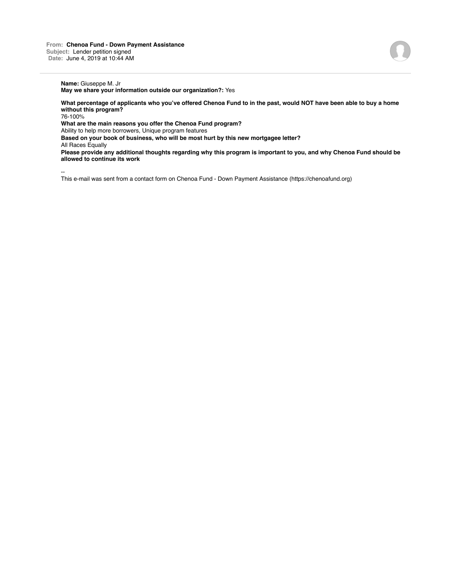# **Name:** Giuseppe M. Jr

**May we share your information outside our organization?:** Yes

**What percentage of applicants who you've offered Chenoa Fund to in the past, would NOT have been able to buy a home without this program?**

76-100%

**What are the main reasons you offer the Chenoa Fund program?**

Ability to help more borrowers, Unique program features

**Based on your book of business, who will be most hurt by this new mortgagee letter?**

All Races Equally

**Please provide any additional thoughts regarding why this program is important to you, and why Chenoa Fund should be allowed to continue its work**

--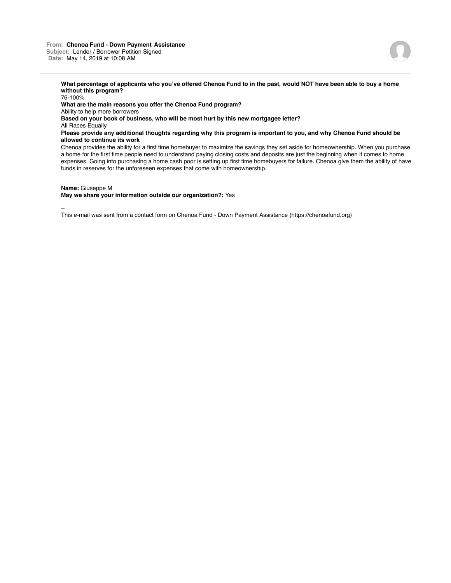**What percentage of applicants who you've offered Chenoa Fund to in the past, would NOT have been able to buy a home without this program?**

76-100% **What are the main reasons you offer the Chenoa Fund program?** Ability to help more borrowers **Based on your book of business, who will be most hurt by this new mortgagee letter?** All Races Equally **Please provide any additional thoughts regarding why this program is important to you, and why Chenoa Fund should be allowed to continue its work** Chenoa provides the ability for a first time homebuyer to maximize the savings they set aside for homeownership. When you purchase a home for the first time people need to understand paying closing costs and deposits are just the beginning when it comes to home expenses. Going into purchasing a home cash poor is setting up first time homebuyers for failure. Chenoa give them the ability of have funds in reserves for the unforeseen expenses that come with homeownership.

### **Name:** Giuseppe M

## **May we share your information outside our organization?:** Yes

--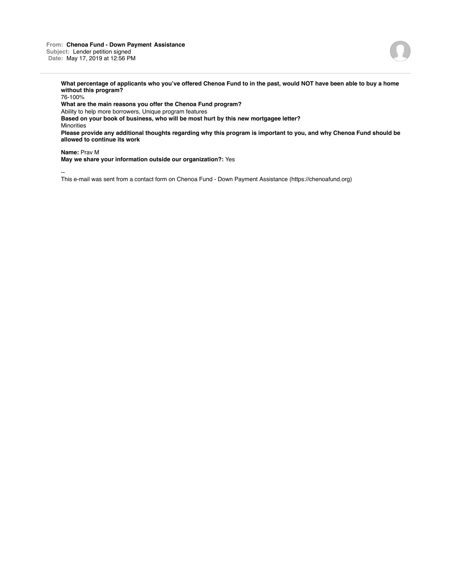**From: Chenoa Fund - Down Payment Assistance Subject:** Lender petition signed **Date:** May 17, 2019 at 12:56 PM



**What percentage of applicants who you've offered Chenoa Fund to in the past, would NOT have been able to buy a home without this program?**

76-100% **What are the main reasons you offer the Chenoa Fund program?** Ability to help more borrowers, Unique program features **Based on your book of business, who will be most hurt by this new mortgagee letter?** Minorities **Please provide any additional thoughts regarding why this program is important to you, and why Chenoa Fund should be allowed to continue its work**

**Name:** Prav M

**May we share your information outside our organization?:** Yes

--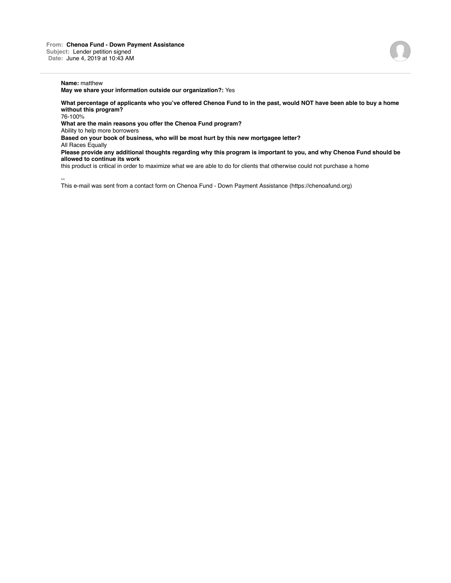### **Name:** matthew

**May we share your information outside our organization?:** Yes

**What percentage of applicants who you've offered Chenoa Fund to in the past, would NOT have been able to buy a home without this program?** 76-100%

**What are the main reasons you offer the Chenoa Fund program?**

Ability to help more borrowers

**Based on your book of business, who will be most hurt by this new mortgagee letter?**

All Races Equally

**Please provide any additional thoughts regarding why this program is important to you, and why Chenoa Fund should be allowed to continue its work**

this product is critical in order to maximize what we are able to do for clients that otherwise could not purchase a home

--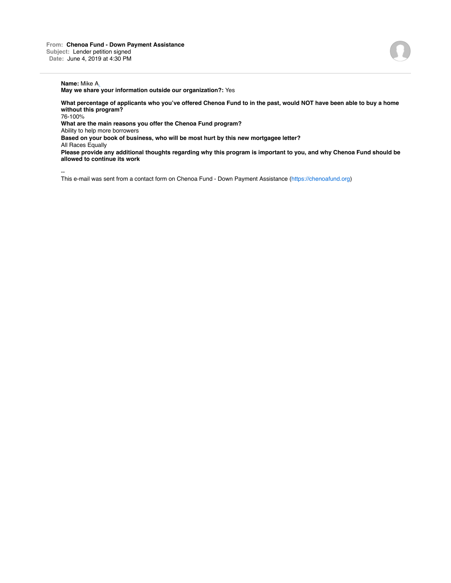# **Name:** Mike A.

**May we share your information outside our organization?:** Yes

**What percentage of applicants who you've offered Chenoa Fund to in the past, would NOT have been able to buy a home without this program?**

76-100%

**What are the main reasons you offer the Chenoa Fund program?**

Ability to help more borrowers

**Based on your book of business, who will be most hurt by this new mortgagee letter?**

All Races Equally

**Please provide any additional thoughts regarding why this program is important to you, and why Chenoa Fund should be allowed to continue its work**

--